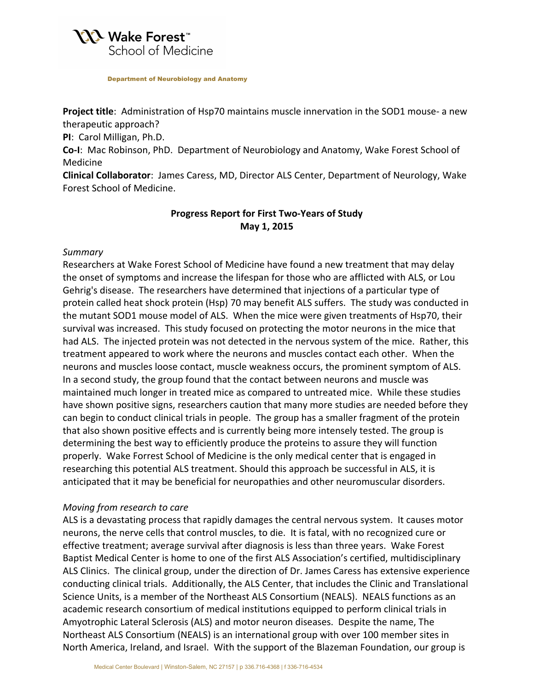

Department of Neurobiology and Anatomy

**Project title**: Administration of Hsp70 maintains muscle innervation in the SOD1 mouse- a new therapeutic approach?

**PI:** Carol Milligan, Ph.D.

Co-I: Mac Robinson, PhD. Department of Neurobiology and Anatomy, Wake Forest School of Medicine

**Clinical Collaborator**: James Caress, MD, Director ALS Center, Department of Neurology, Wake Forest School of Medicine.

## **Progress Report for First Two-Years of Study May 1, 2015**

### *Summary*

Researchers at Wake Forest School of Medicine have found a new treatment that may delay the onset of symptoms and increase the lifespan for those who are afflicted with ALS, or Lou Gehrig's disease. The researchers have determined that injections of a particular type of protein called heat shock protein (Hsp) 70 may benefit ALS suffers. The study was conducted in the mutant SOD1 mouse model of ALS. When the mice were given treatments of Hsp70, their survival was increased. This study focused on protecting the motor neurons in the mice that had ALS. The injected protein was not detected in the nervous system of the mice. Rather, this treatment appeared to work where the neurons and muscles contact each other. When the neurons and muscles loose contact, muscle weakness occurs, the prominent symptom of ALS. In a second study, the group found that the contact between neurons and muscle was maintained much longer in treated mice as compared to untreated mice. While these studies have shown positive signs, researchers caution that many more studies are needed before they can begin to conduct clinical trials in people. The group has a smaller fragment of the protein that also shown positive effects and is currently being more intensely tested. The group is determining the best way to efficiently produce the proteins to assure they will function properly. Wake Forrest School of Medicine is the only medical center that is engaged in researching this potential ALS treatment. Should this approach be successful in ALS, it is anticipated that it may be beneficial for neuropathies and other neuromuscular disorders.

#### *Moving from research to care*

ALS is a devastating process that rapidly damages the central nervous system. It causes motor neurons, the nerve cells that control muscles, to die. It is fatal, with no recognized cure or effective treatment; average survival after diagnosis is less than three years. Wake Forest Baptist Medical Center is home to one of the first ALS Association's certified, multidisciplinary ALS Clinics. The clinical group, under the direction of Dr. James Caress has extensive experience conducting clinical trials. Additionally, the ALS Center, that includes the Clinic and Translational Science Units, is a member of the Northeast ALS Consortium (NEALS). NEALS functions as an academic research consortium of medical institutions equipped to perform clinical trials in Amyotrophic Lateral Sclerosis (ALS) and motor neuron diseases. Despite the name, The Northeast ALS Consortium (NEALS) is an international group with over 100 member sites in North America, Ireland, and Israel. With the support of the Blazeman Foundation, our group is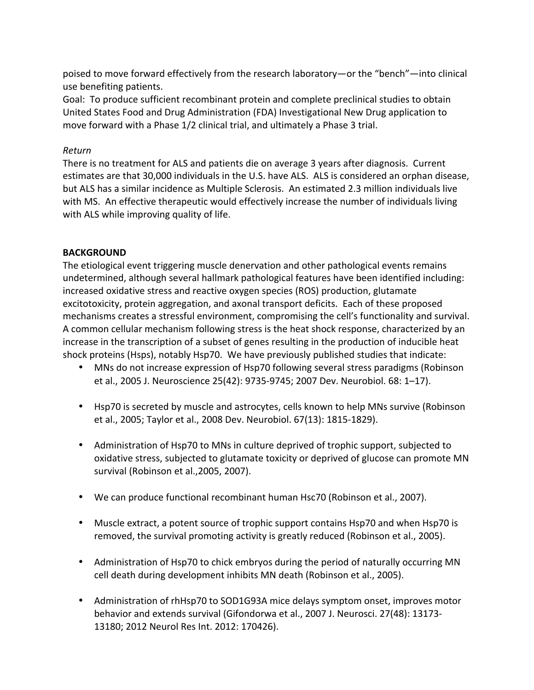poised to move forward effectively from the research laboratory—or the "bench"—into clinical use benefiting patients.

Goal: To produce sufficient recombinant protein and complete preclinical studies to obtain United States Food and Drug Administration (FDA) Investigational New Drug application to move forward with a Phase 1/2 clinical trial, and ultimately a Phase 3 trial.

### *Return*

There is no treatment for ALS and patients die on average 3 years after diagnosis. Current estimates are that 30,000 individuals in the U.S. have ALS. ALS is considered an orphan disease, but ALS has a similar incidence as Multiple Sclerosis. An estimated 2.3 million individuals live with MS. An effective therapeutic would effectively increase the number of individuals living with ALS while improving quality of life.

#### **BACKGROUND**

The etiological event triggering muscle denervation and other pathological events remains undetermined, although several hallmark pathological features have been identified including: increased oxidative stress and reactive oxygen species (ROS) production, glutamate excitotoxicity, protein aggregation, and axonal transport deficits. Each of these proposed mechanisms creates a stressful environment, compromising the cell's functionality and survival. A common cellular mechanism following stress is the heat shock response, characterized by an increase in the transcription of a subset of genes resulting in the production of inducible heat shock proteins (Hsps), notably Hsp70. We have previously published studies that indicate:

- MNs do not increase expression of Hsp70 following several stress paradigms (Robinson et al., 2005 J. Neuroscience 25(42): 9735-9745; 2007 Dev. Neurobiol. 68: 1-17).
- Hsp70 is secreted by muscle and astrocytes, cells known to help MNs survive (Robinson et al., 2005; Taylor et al., 2008 Dev. Neurobiol. 67(13): 1815-1829).
- Administration of Hsp70 to MNs in culture deprived of trophic support, subjected to oxidative stress, subjected to glutamate toxicity or deprived of glucose can promote MN survival (Robinson et al., 2005, 2007).
- We can produce functional recombinant human Hsc70 (Robinson et al., 2007).
- Muscle extract, a potent source of trophic support contains Hsp70 and when Hsp70 is removed, the survival promoting activity is greatly reduced (Robinson et al., 2005).
- Administration of Hsp70 to chick embryos during the period of naturally occurring MN cell death during development inhibits MN death (Robinson et al., 2005).
- Administration of rhHsp70 to SOD1G93A mice delays symptom onset, improves motor behavior and extends survival (Gifondorwa et al., 2007 J. Neurosci. 27(48): 13173-13180; 2012 Neurol Res Int. 2012: 170426).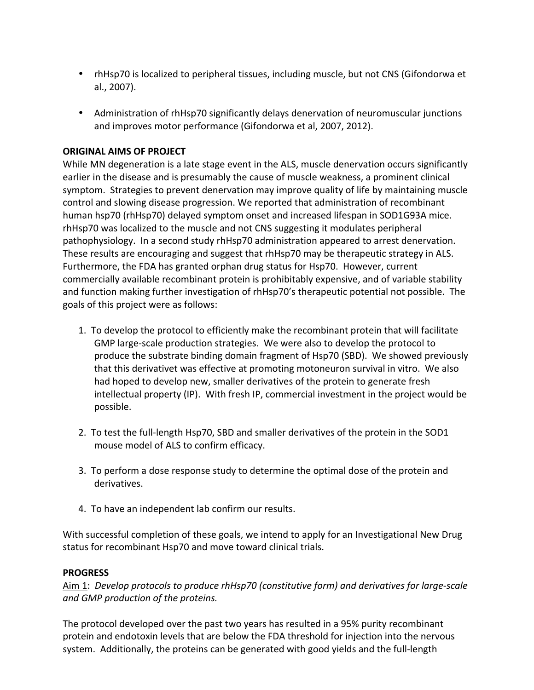- rhHsp70 is localized to peripheral tissues, including muscle, but not CNS (Gifondorwa et al., 2007).
- Administration of rhHsp70 significantly delays denervation of neuromuscular junctions and improves motor performance (Gifondorwa et al, 2007, 2012).

## **ORIGINAL AIMS OF PROJECT**

While MN degeneration is a late stage event in the ALS, muscle denervation occurs significantly earlier in the disease and is presumably the cause of muscle weakness, a prominent clinical symptom. Strategies to prevent denervation may improve quality of life by maintaining muscle control and slowing disease progression. We reported that administration of recombinant human hsp70 (rhHsp70) delayed symptom onset and increased lifespan in SOD1G93A mice. rhHsp70 was localized to the muscle and not CNS suggesting it modulates peripheral pathophysiology. In a second study rhHsp70 administration appeared to arrest denervation. These results are encouraging and suggest that rhHsp70 may be therapeutic strategy in ALS. Furthermore, the FDA has granted orphan drug status for Hsp70. However, current commercially available recombinant protein is prohibitably expensive, and of variable stability and function making further investigation of rhHsp70's therapeutic potential not possible. The goals of this project were as follows:

- 1. To develop the protocol to efficiently make the recombinant protein that will facilitate GMP large-scale production strategies. We were also to develop the protocol to produce the substrate binding domain fragment of Hsp70 (SBD). We showed previously that this derivativet was effective at promoting motoneuron survival in vitro. We also had hoped to develop new, smaller derivatives of the protein to generate fresh intellectual property (IP). With fresh IP, commercial investment in the project would be possible.
- 2. To test the full-length Hsp70, SBD and smaller derivatives of the protein in the SOD1 mouse model of ALS to confirm efficacy.
- 3. To perform a dose response study to determine the optimal dose of the protein and derivatives.
- 4. To have an independent lab confirm our results.

With successful completion of these goals, we intend to apply for an Investigational New Drug status for recombinant Hsp70 and move toward clinical trials.

## **PROGRESS**

Aim 1: Develop protocols to produce rhHsp70 (constitutive form) and derivatives for large-scale and GMP production of the proteins.

The protocol developed over the past two years has resulted in a 95% purity recombinant protein and endotoxin levels that are below the FDA threshold for injection into the nervous system. Additionally, the proteins can be generated with good yields and the full-length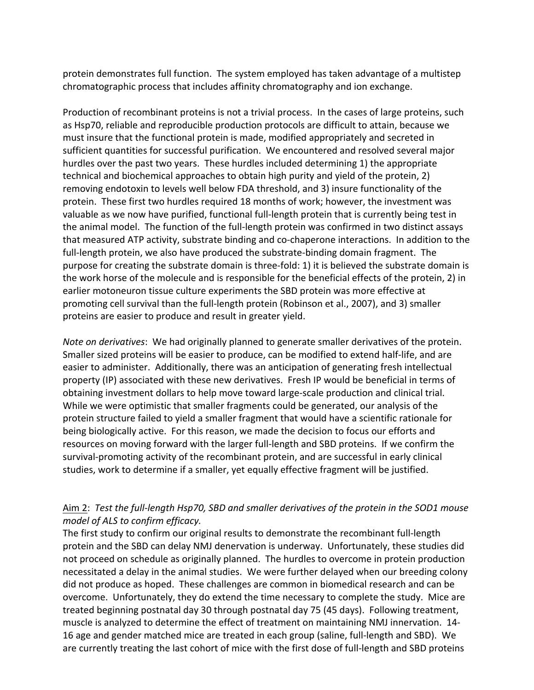protein demonstrates full function. The system employed has taken advantage of a multistep chromatographic process that includes affinity chromatography and ion exchange.

Production of recombinant proteins is not a trivial process. In the cases of large proteins, such as Hsp70, reliable and reproducible production protocols are difficult to attain, because we must insure that the functional protein is made, modified appropriately and secreted in sufficient quantities for successful purification. We encountered and resolved several major hurdles over the past two years. These hurdles included determining 1) the appropriate technical and biochemical approaches to obtain high purity and yield of the protein, 2) removing endotoxin to levels well below FDA threshold, and 3) insure functionality of the protein. These first two hurdles required 18 months of work; however, the investment was valuable as we now have purified, functional full-length protein that is currently being test in the animal model. The function of the full-length protein was confirmed in two distinct assays that measured ATP activity, substrate binding and co-chaperone interactions. In addition to the full-length protein, we also have produced the substrate-binding domain fragment. The purpose for creating the substrate domain is three-fold: 1) it is believed the substrate domain is the work horse of the molecule and is responsible for the beneficial effects of the protein, 2) in earlier motoneuron tissue culture experiments the SBD protein was more effective at promoting cell survival than the full-length protein (Robinson et al., 2007), and 3) smaller proteins are easier to produce and result in greater yield.

*Note on derivatives*: We had originally planned to generate smaller derivatives of the protein. Smaller sized proteins will be easier to produce, can be modified to extend half-life, and are easier to administer. Additionally, there was an anticipation of generating fresh intellectual property (IP) associated with these new derivatives. Fresh IP would be beneficial in terms of obtaining investment dollars to help move toward large-scale production and clinical trial. While we were optimistic that smaller fragments could be generated, our analysis of the protein structure failed to yield a smaller fragment that would have a scientific rationale for being biologically active. For this reason, we made the decision to focus our efforts and resources on moving forward with the larger full-length and SBD proteins. If we confirm the survival-promoting activity of the recombinant protein, and are successful in early clinical studies, work to determine if a smaller, yet equally effective fragment will be justified.

# Aim 2: Test the full-length Hsp70, SBD and smaller derivatives of the protein in the SOD1 mouse *model of ALS to confirm efficacy.*

The first study to confirm our original results to demonstrate the recombinant full-length protein and the SBD can delay NMJ denervation is underway. Unfortunately, these studies did not proceed on schedule as originally planned. The hurdles to overcome in protein production necessitated a delay in the animal studies. We were further delayed when our breeding colony did not produce as hoped. These challenges are common in biomedical research and can be overcome. Unfortunately, they do extend the time necessary to complete the study. Mice are treated beginning postnatal day 30 through postnatal day 75 (45 days). Following treatment, muscle is analyzed to determine the effect of treatment on maintaining NMJ innervation. 14-16 age and gender matched mice are treated in each group (saline, full-length and SBD). We are currently treating the last cohort of mice with the first dose of full-length and SBD proteins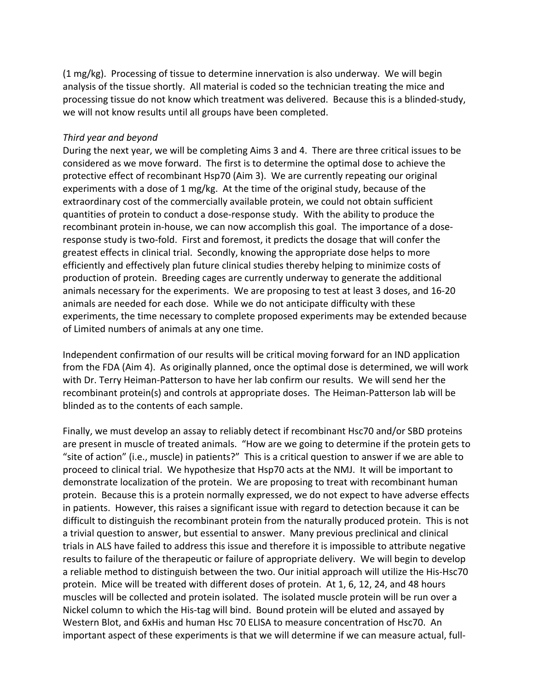$(1 \text{ mg/kg})$ . Processing of tissue to determine innervation is also underway. We will begin analysis of the tissue shortly. All material is coded so the technician treating the mice and processing tissue do not know which treatment was delivered. Because this is a blinded-study, we will not know results until all groups have been completed.

#### *Third year and beyond*

During the next year, we will be completing Aims 3 and 4. There are three critical issues to be considered as we move forward. The first is to determine the optimal dose to achieve the protective effect of recombinant Hsp70 (Aim 3). We are currently repeating our original experiments with a dose of 1 mg/kg. At the time of the original study, because of the extraordinary cost of the commercially available protein, we could not obtain sufficient quantities of protein to conduct a dose-response study. With the ability to produce the recombinant protein in-house, we can now accomplish this goal. The importance of a doseresponse study is two-fold. First and foremost, it predicts the dosage that will confer the greatest effects in clinical trial. Secondly, knowing the appropriate dose helps to more efficiently and effectively plan future clinical studies thereby helping to minimize costs of production of protein. Breeding cages are currently underway to generate the additional animals necessary for the experiments. We are proposing to test at least 3 doses, and 16-20 animals are needed for each dose. While we do not anticipate difficulty with these experiments, the time necessary to complete proposed experiments may be extended because of Limited numbers of animals at any one time.

Independent confirmation of our results will be critical moving forward for an IND application from the FDA (Aim 4). As originally planned, once the optimal dose is determined, we will work with Dr. Terry Heiman-Patterson to have her lab confirm our results. We will send her the recombinant protein(s) and controls at appropriate doses. The Heiman-Patterson lab will be blinded as to the contents of each sample.

Finally, we must develop an assay to reliably detect if recombinant Hsc70 and/or SBD proteins are present in muscle of treated animals. "How are we going to determine if the protein gets to "site of action" (i.e., muscle) in patients?" This is a critical question to answer if we are able to proceed to clinical trial. We hypothesize that Hsp70 acts at the NMJ. It will be important to demonstrate localization of the protein. We are proposing to treat with recombinant human protein. Because this is a protein normally expressed, we do not expect to have adverse effects in patients. However, this raises a significant issue with regard to detection because it can be difficult to distinguish the recombinant protein from the naturally produced protein. This is not a trivial question to answer, but essential to answer. Many previous preclinical and clinical trials in ALS have failed to address this issue and therefore it is impossible to attribute negative results to failure of the therapeutic or failure of appropriate delivery. We will begin to develop a reliable method to distinguish between the two. Our initial approach will utilize the His-Hsc70 protein. Mice will be treated with different doses of protein. At 1, 6, 12, 24, and 48 hours muscles will be collected and protein isolated. The isolated muscle protein will be run over a Nickel column to which the His-tag will bind. Bound protein will be eluted and assayed by Western Blot, and 6xHis and human Hsc 70 ELISA to measure concentration of Hsc70. An important aspect of these experiments is that we will determine if we can measure actual, full